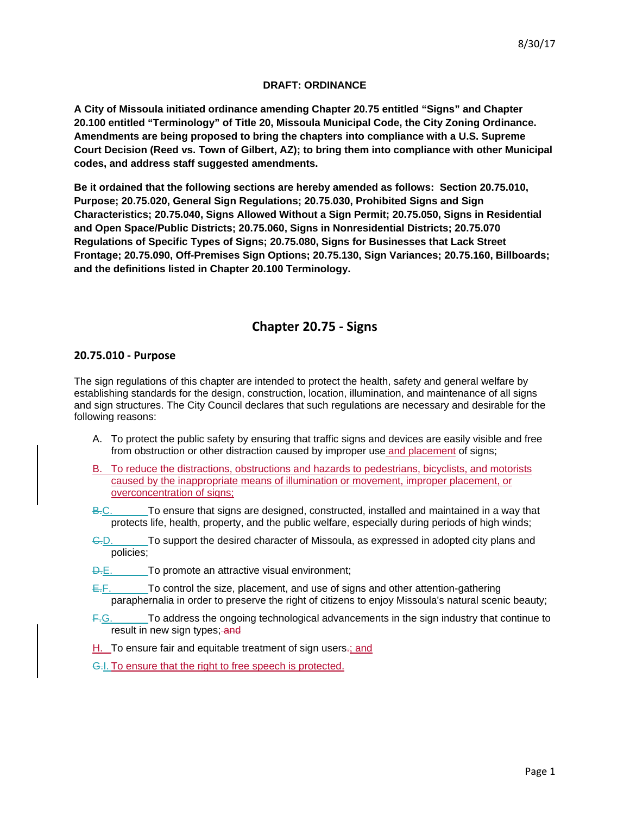# **DRAFT: ORDINANCE**

**A City of Missoula initiated ordinance amending Chapter 20.75 entitled "Signs" and Chapter 20.100 entitled "Terminology" of Title 20, Missoula Municipal Code, the City Zoning Ordinance. Amendments are being proposed to bring the chapters into compliance with a U.S. Supreme Court Decision (Reed vs. Town of Gilbert, AZ); to bring them into compliance with other Municipal codes, and address staff suggested amendments.**

**Be it ordained that the following sections are hereby amended as follows: Section 20.75.010, Purpose; 20.75.020, General Sign Regulations; 20.75.030, Prohibited Signs and Sign Characteristics; 20.75.040, Signs Allowed Without a Sign Permit; 20.75.050, Signs in Residential and Open Space/Public Districts; 20.75.060, Signs in Nonresidential Districts; 20.75.070 Regulations of Specific Types of Signs; 20.75.080, Signs for Businesses that Lack Street Frontage; 20.75.090, Off-Premises Sign Options; 20.75.130, Sign Variances; 20.75.160, Billboards; and the definitions listed in Chapter 20.100 Terminology.**

# **Chapter 20.75 - Signs**

# **20.75.010 - Purpose**

The sign regulations of this chapter are intended to protect the health, safety and general welfare by establishing standards for the design, construction, location, illumination, and maintenance of all signs and sign structures. The City Council declares that such regulations are necessary and desirable for the following reasons:

- A. To protect the public safety by ensuring that traffic signs and devices are easily visible and free from obstruction or other distraction caused by improper use and placement of signs;
- B. To reduce the distractions, obstructions and hazards to pedestrians, bicyclists, and motorists caused by the inappropriate means of illumination or movement, improper placement, or overconcentration of signs;
- B.C. To ensure that signs are designed, constructed, installed and maintained in a way that protects life, health, property, and the public welfare, especially during periods of high winds;
- C.D. To support the desired character of Missoula, as expressed in adopted city plans and policies;
- **D.E.** To promote an attractive visual environment;
- $E.F.$  To control the size, placement, and use of signs and other attention-gathering paraphernalia in order to preserve the right of citizens to enjoy Missoula's natural scenic beauty;
- F.G. To address the ongoing technological advancements in the sign industry that continue to result in new sign types; and
- H. To ensure fair and equitable treatment of sign users-; and
- G.I. To ensure that the right to free speech is protected.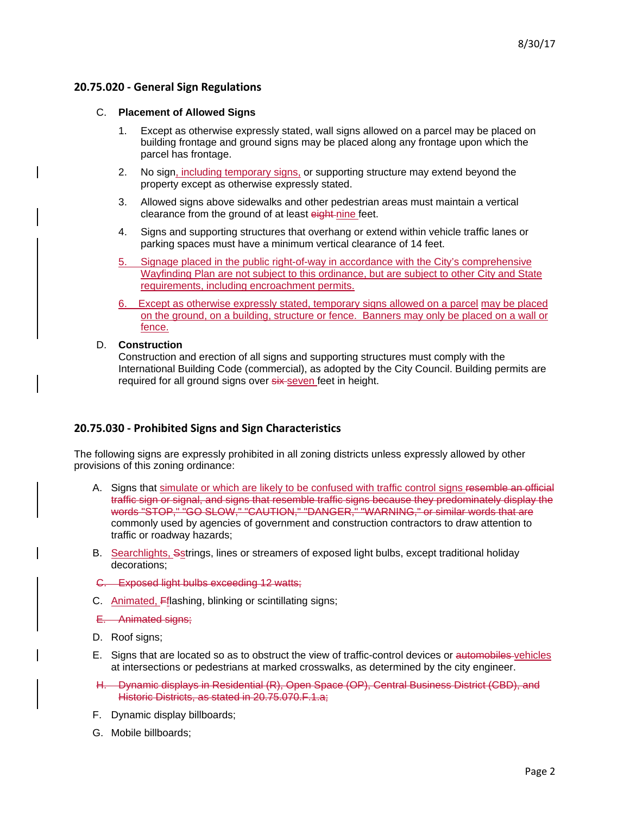# **20.75.020 - General Sign Regulations**

### C. **Placement of Allowed Signs**

- 1. Except as otherwise expressly stated, wall signs allowed on a parcel may be placed on building frontage and ground signs may be placed along any frontage upon which the parcel has frontage.
- 2. No sign, including temporary signs, or supporting structure may extend beyond the property except as otherwise expressly stated.
- 3. Allowed signs above sidewalks and other pedestrian areas must maintain a vertical clearance from the ground of at least eight-nine feet.
- 4. Signs and supporting structures that overhang or extend within vehicle traffic lanes or parking spaces must have a minimum vertical clearance of 14 feet.
- 5. Signage placed in the public right-of-way in accordance with the City's comprehensive Wayfinding Plan are not subject to this ordinance, but are subject to other City and State requirements, including encroachment permits.
- 6. Except as otherwise expressly stated, temporary signs allowed on a parcel may be placed on the ground, on a building, structure or fence. Banners may only be placed on a wall or fence.

### D. **Construction**

Construction and erection of all signs and supporting structures must comply with the International Building Code (commercial), as adopted by the City Council. Building permits are required for all ground signs over six seven feet in height.

# **20.75.030 - Prohibited Signs and Sign Characteristics**

The following signs are expressly prohibited in all zoning districts unless expressly allowed by other provisions of this zoning ordinance:

- A. Signs that simulate or which are likely to be confused with traffic control signs resemble an official traffic sign or signal, and signs that resemble traffic signs because they predominately display the words "STOP," "GO SLOW," "CAUTION," "DANGER," "WARNING," or similar words that are commonly used by agencies of government and construction contractors to draw attention to traffic or roadway hazards;
- B. Searchlights, Sstrings, lines or streamers of exposed light bulbs, except traditional holiday decorations;
- C. Exposed light bulbs exceeding 12 watts;
- C. Animated, Fflashing, blinking or scintillating signs;
- E. Animated signs;
- D. Roof signs;
- E. Signs that are located so as to obstruct the view of traffic-control devices or automobiles-vehicles at intersections or pedestrians at marked crosswalks, as determined by the city engineer.
- H. Dynamic displays in Residential (R), Open Space (OP), Central Business District (CBD), and Historic Districts, as stated in 20.75.070.F.1.a;
- F. Dynamic display billboards;
- G. Mobile billboards;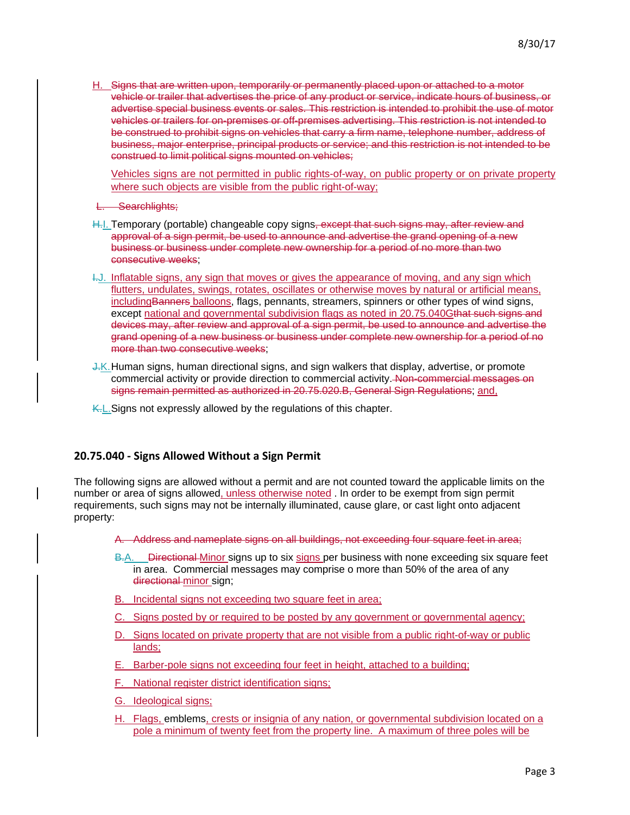H. Signs that are written upon, temporarily or permanently placed upon or attached to a motor vehicle or trailer that advertises the price of any product or service, indicate hours of business, or advertise special business events or sales. This restriction is intended to prohibit the use of motor vehicles or trailers for on-premises or off-premises advertising. This restriction is not intended to be construed to prohibit signs on vehicles that carry a firm name, telephone number, address of business, major enterprise, principal products or service; and this restriction is not intended to be construed to limit political signs mounted on vehicles;

Vehicles signs are not permitted in public rights-of-way, on public property or on private property where such objects are visible from the public right-of-way;

**Searchlights:** 

- H.I. Temporary (portable) changeable copy signs, except that such signs may, after review and approval of a sign permit, be used to announce and advertise the grand opening of a new business or business under complete new ownership for a period of no more than two consecutive weeks;
- I.J. Inflatable signs, any sign that moves or gives the appearance of moving, and any sign which flutters, undulates, swings, rotates, oscillates or otherwise moves by natural or artificial means, including Banners balloons, flags, pennants, streamers, spinners or other types of wind signs, except national and governmental subdivision flags as noted in 20.75.040Gthat such signs and devices may, after review and approval of a sign permit, be used to announce and advertise the grand opening of a new business or business under complete new ownership for a period of no more than two consecutive weeks;
- J.K.Human signs, human directional signs, and sign walkers that display, advertise, or promote commercial activity or provide direction to commercial activity. Non-commercial messages on signs remain permitted as authorized in 20.75.020.B, General Sign Regulations; and,
- K.L. Signs not expressly allowed by the regulations of this chapter.

# **20.75.040 - Signs Allowed Without a Sign Permit**

The following signs are allowed without a permit and are not counted toward the applicable limits on the number or area of signs allowed, unless otherwise noted . In order to be exempt from sign permit requirements, such signs may not be internally illuminated, cause glare, or cast light onto adjacent property:

A. Address and nameplate signs on all buildings, not exceeding four square feet in area;

- B.A. Directional Minor signs up to six signs per business with none exceeding six square feet in area. Commercial messages may comprise o more than 50% of the area of any directional minor sign;
- B. Incidental signs not exceeding two square feet in area;
- C. Signs posted by or required to be posted by any government or governmental agency;
- D. Signs located on private property that are not visible from a public right-of-way or public lands;
- E. Barber-pole signs not exceeding four feet in height, attached to a building;
- F. National register district identification signs;
- G. Ideological signs;
- H. Flags, emblems, crests or insignia of any nation, or governmental subdivision located on a pole a minimum of twenty feet from the property line. A maximum of three poles will be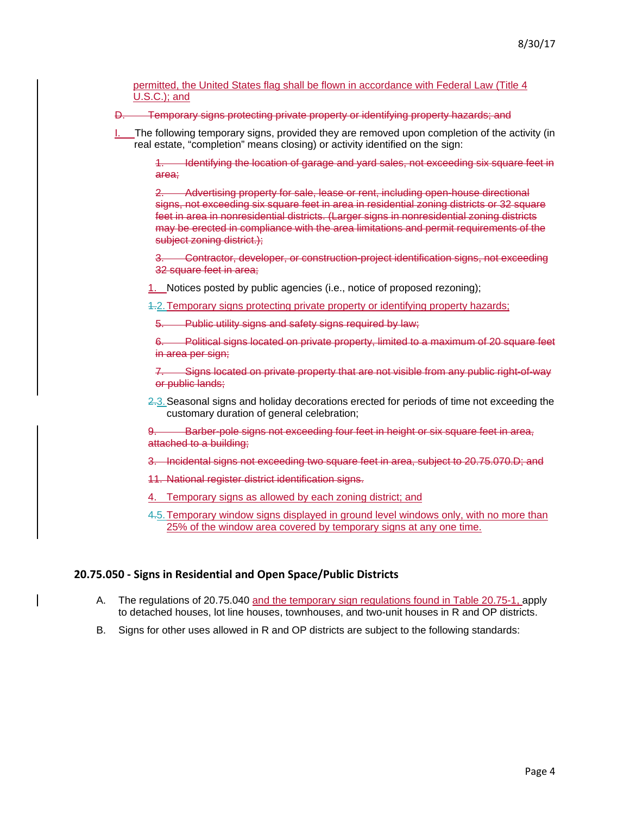permitted, the United States flag shall be flown in accordance with Federal Law (Title 4 U.S.C.); and

D. Temporary signs protecting private property or identifying property hazards; and

The following temporary signs, provided they are removed upon completion of the activity (in real estate, "completion" means closing) or activity identified on the sign:

Identifying the location of garage and yard sales, not exceeding six square feet in area;

2. Advertising property for sale, lease or rent, including open-house directional signs, not exceeding six square feet in area in residential zoning districts or 32 square feet in area in nonresidential districts. (Larger signs in nonresidential zoning districts may be erected in compliance with the area limitations and permit requirements of the subject zoning district.);

3. Contractor, developer, or construction-project identification signs, not exceeding 32 square feet in area;

1. Notices posted by public agencies (i.e., notice of proposed rezoning);

1.2.Temporary signs protecting private property or identifying property hazards;

Public utility signs and safety signs required by law;

6. Political signs located on private property, limited to a maximum of 20 square feet in area per sign;

7. Signs located on private property that are not visible from any public right-of-way or public lands;

2.3.Seasonal signs and holiday decorations erected for periods of time not exceeding the customary duration of general celebration;

9. Barber-pole signs not exceeding four feet in height or six square feet in area, attached to a building;

- 3. Incidental signs not exceeding two square feet in area, subject to 20.75.070.D; and
- 11. National register district identification signs.
- 4. Temporary signs as allowed by each zoning district; and
- 4.5.Temporary window signs displayed in ground level windows only, with no more than 25% of the window area covered by temporary signs at any one time.

### **20.75.050 - Signs in Residential and Open Space/Public Districts**

- A. The regulations of 20.75.040 and the temporary sign regulations found in Table 20.75-1, apply to detached houses, lot line houses, townhouses, and two-unit houses in R and OP districts.
- B. Signs for other uses allowed in R and OP districts are subject to the following standards: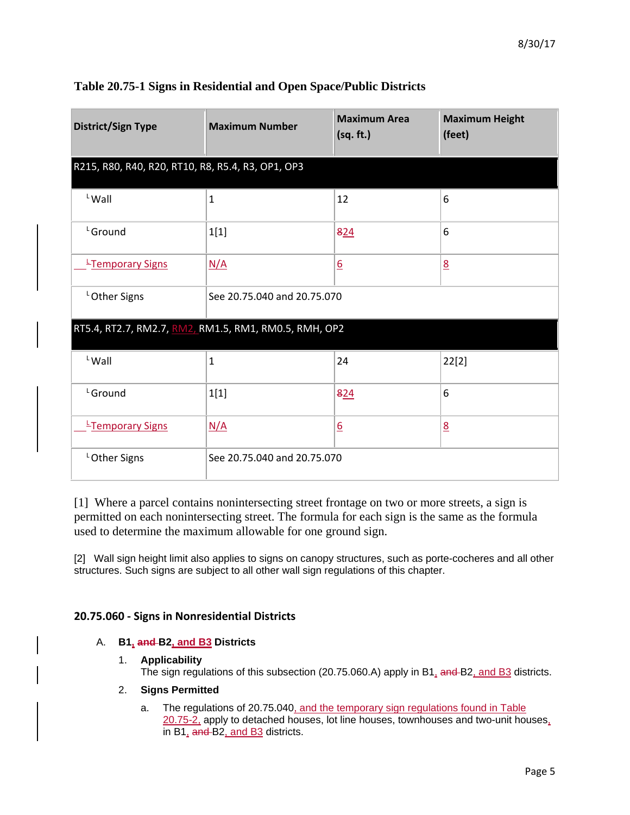| <b>District/Sign Type</b>                             | <b>Maximum Number</b>       | <b>Maximum Area</b><br>(sq. ft.) | <b>Maximum Height</b><br>(feet) |
|-------------------------------------------------------|-----------------------------|----------------------------------|---------------------------------|
| R215, R80, R40, R20, RT10, R8, R5.4, R3, OP1, OP3     |                             |                                  |                                 |
| $L$ Wall                                              | $\mathbf{1}$                | 12                               | 6                               |
| L <sub>Ground</sub>                                   | 1[1]                        | 824                              | 6                               |
| Fremporary Signs                                      | N/A                         | $\underline{6}$                  | 8                               |
| LOther Signs                                          | See 20.75.040 and 20.75.070 |                                  |                                 |
| RT5.4, RT2.7, RM2.7, RM2, RM1.5, RM1, RM0.5, RMH, OP2 |                             |                                  |                                 |
| $L$ Wall                                              | $\mathbf{1}$                | 24                               | 22[2]                           |
| L <sub>Ground</sub>                                   | 1[1]                        | 824                              | 6                               |
| Fremporary Signs                                      | N/A                         | $\underline{6}$                  | $\underline{8}$                 |
| LOther Signs                                          | See 20.75.040 and 20.75.070 |                                  |                                 |

# **Table 20.75-1 Signs in Residential and Open Space/Public Districts**

[1] Where a parcel contains nonintersecting street frontage on two or more streets, a sign is permitted on each nonintersecting street. The formula for each sign is the same as the formula used to determine the maximum allowable for one ground sign.

[2] Wall sign height limit also applies to signs on canopy structures, such as porte-cocheres and all other structures. Such signs are subject to all other wall sign regulations of this chapter.

# **20.75.060 - Signs in Nonresidential Districts**

# A. **B1, and B2, and B3 Districts**

# 1. **Applicability**

The sign regulations of this subsection (20.75.060.A) apply in B1, and B2, and B3 districts.

# 2. **Signs Permitted**

a. The regulations of 20.75.040, and the temporary sign regulations found in Table 20.75-2, apply to detached houses, lot line houses, townhouses and two-unit houses, in B1, and B2, and B3 districts.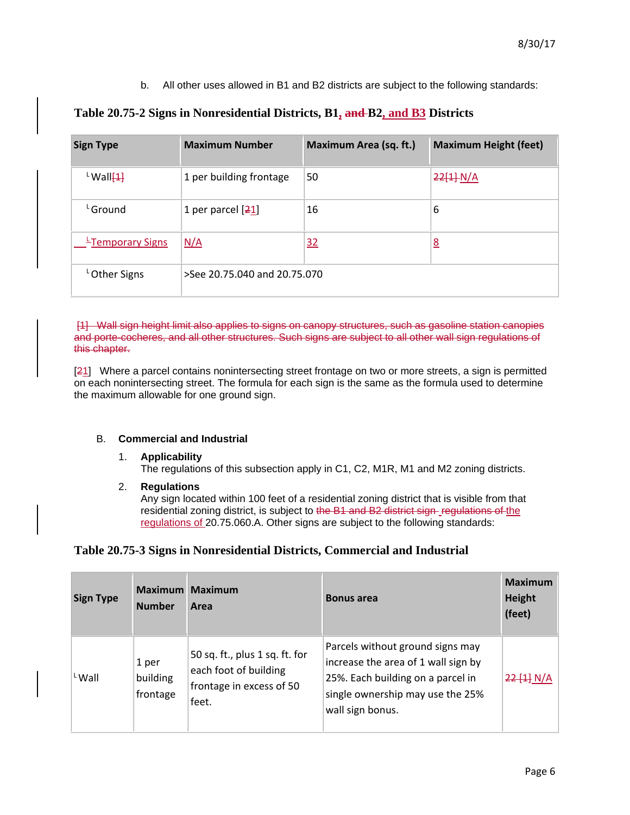b. All other uses allowed in B1 and B2 districts are subject to the following standards:

| <b>Sign Type</b>                 | <b>Maximum Number</b>        | Maximum Area (sq. ft.) | <b>Maximum Height (feet)</b> |
|----------------------------------|------------------------------|------------------------|------------------------------|
| $\frac{L}{2}$ Wall $\frac{1}{2}$ | 1 per building frontage      | 50                     | 22[4]N/A                     |
| <sup>L</sup> Ground              | 1 per parcel $[21]$          | 16                     | 6                            |
| Expression Figure                | N/A                          | 32                     | $\underline{8}$              |
| <sup>L</sup> Other Signs         | >See 20.75.040 and 20.75.070 |                        |                              |

# **Table 20.75-2 Signs in Nonresidential Districts, B1, and B2, and B3 Districts**

[1] Wall sign height limit also applies to signs on canopy structures, such as gasoline station canopies and porte-cocheres, and all other structures. Such signs are subject to all other wall sign regulations of this chapter.

[21] Where a parcel contains nonintersecting street frontage on two or more streets, a sign is permitted on each nonintersecting street. The formula for each sign is the same as the formula used to determine the maximum allowable for one ground sign.

# B. **Commercial and Industrial**

- 1. **Applicability** The regulations of this subsection apply in C1, C2, M1R, M1 and M2 zoning districts.
- 2. **Regulations**

Any sign located within 100 feet of a residential zoning district that is visible from that residential zoning district, is subject to the B1 and B2 district sign regulations of the regulations of 20.75.060.A. Other signs are subject to the following standards:

# **Table 20.75-3 Signs in Nonresidential Districts, Commercial and Industrial**

| <b>Sign Type</b> | <b>Maximum</b><br><b>Number</b> | <b>Maximum</b><br>Area                                                                       | <b>Bonus area</b>                                                                                                                                                    | <b>Maximum</b><br><b>Height</b><br>(feet) |
|------------------|---------------------------------|----------------------------------------------------------------------------------------------|----------------------------------------------------------------------------------------------------------------------------------------------------------------------|-------------------------------------------|
| LWall            | 1 per<br>building<br>frontage   | 50 sq. ft., plus 1 sq. ft. for<br>each foot of building<br>frontage in excess of 50<br>feet. | Parcels without ground signs may<br>increase the area of 1 wall sign by<br>25%. Each building on a parcel in<br>single ownership may use the 25%<br>wall sign bonus. | 22[1] N/A                                 |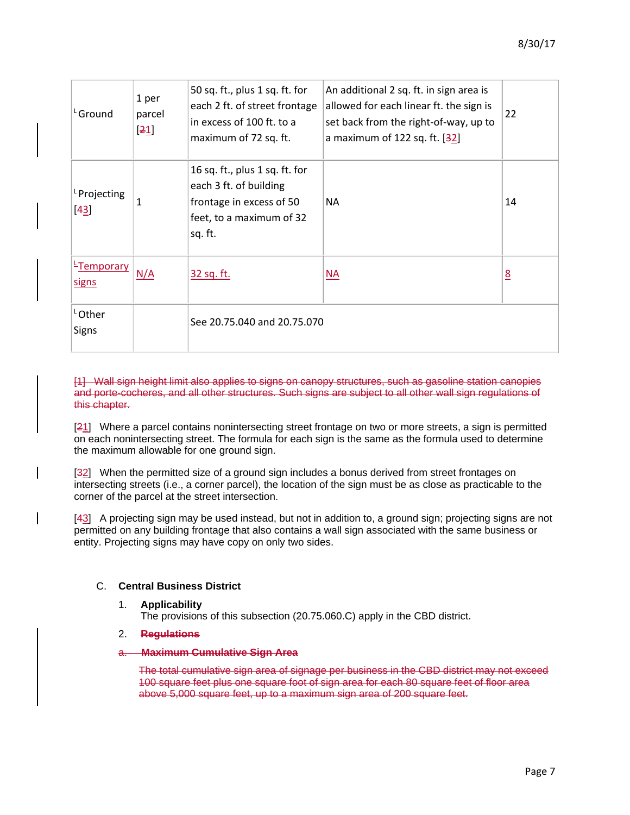| ' <sub></sub> Ground               | 1 per<br>parcel<br>$\lfloor 21 \rfloor$ | 50 sq. ft., plus 1 sq. ft. for<br>each 2 ft. of street frontage<br>in excess of 100 ft. to a<br>maximum of 72 sq. ft.       | An additional 2 sq. ft. in sign area is<br>allowed for each linear ft. the sign is<br>set back from the right-of-way, up to<br>a maximum of 122 sq. ft. $[32]$ | 22 |
|------------------------------------|-----------------------------------------|-----------------------------------------------------------------------------------------------------------------------------|----------------------------------------------------------------------------------------------------------------------------------------------------------------|----|
| <sup>L</sup> Projecting<br>$[43]$  | $\mathbf{1}$                            | 16 sq. ft., plus 1 sq. ft. for<br>each 3 ft. of building<br>frontage in excess of 50<br>feet, to a maximum of 32<br>sq. ft. | <b>NA</b>                                                                                                                                                      | 14 |
| <b>E</b> Temporary<br><b>signs</b> | N/A                                     | <u>32 sq. ft.</u>                                                                                                           | <b>NA</b>                                                                                                                                                      | 8  |
| LOther<br><b>Signs</b>             |                                         | See 20.75.040 and 20.75.070                                                                                                 |                                                                                                                                                                |    |

[1] Wall sign height limit also applies to signs on canopy structures, such as gasoline station canopies and porte-cocheres, and all other structures. Such signs are subject to all other wall sign regulations of this chapter.

[21] Where a parcel contains nonintersecting street frontage on two or more streets, a sign is permitted on each nonintersecting street. The formula for each sign is the same as the formula used to determine the maximum allowable for one ground sign.

[32] When the permitted size of a ground sign includes a bonus derived from street frontages on intersecting streets (i.e., a corner parcel), the location of the sign must be as close as practicable to the corner of the parcel at the street intersection.

[43] A projecting sign may be used instead, but not in addition to, a ground sign; projecting signs are not permitted on any building frontage that also contains a wall sign associated with the same business or entity. Projecting signs may have copy on only two sides.

# C. **Central Business District**

1. **Applicability**

The provisions of this subsection (20.75.060.C) apply in the CBD district.

- 2. **Regulations**
- a. **Maximum Cumulative Sign Area**

The total cumulative sign area of signage per business in the CBD district may not exceed 100 square feet plus one square foot of sign area for each 80 square feet of floor area above 5,000 square feet, up to a maximum sign area of 200 square feet.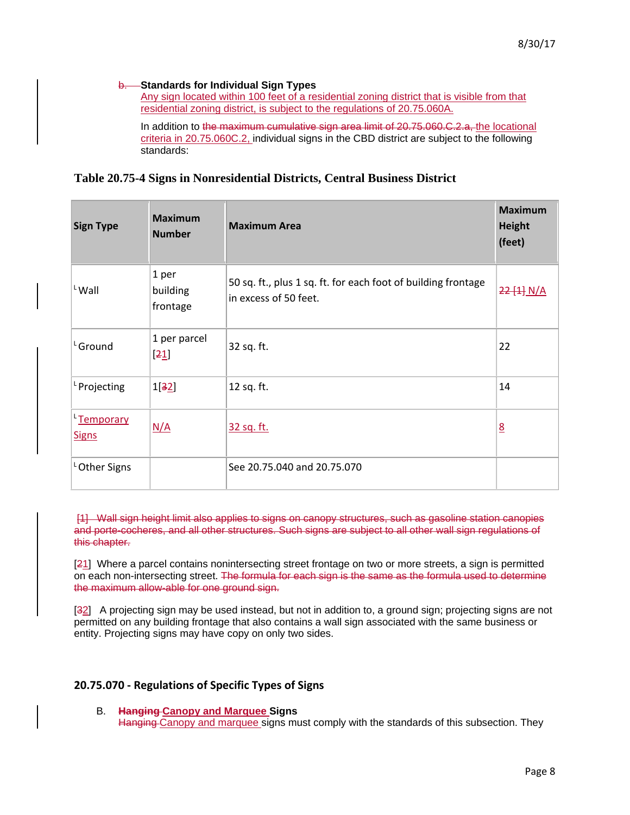### b. **Standards for Individual Sign Types**

Any sign located within 100 feet of a residential zoning district that is visible from that residential zoning district, is subject to the regulations of 20.75.060A.

In addition to the maximum cumulative sign area limit of 20.75.060.C.2.a, the locational criteria in 20.75.060C.2, individual signs in the CBD district are subject to the following standards:

# **Table 20.75-4 Signs in Nonresidential Districts, Central Business District**

| <b>Sign Type</b>                | <b>Maximum</b><br><b>Number</b>      | <b>Maximum Area</b>                                                                    | <b>Maximum</b><br><b>Height</b><br>(feet) |
|---------------------------------|--------------------------------------|----------------------------------------------------------------------------------------|-------------------------------------------|
| $L$ Wall                        | 1 per<br>building<br>frontage        | 50 sq. ft., plus 1 sq. ft. for each foot of building frontage<br>in excess of 50 feet. | 22[4] N/A                                 |
| L <sub>Ground</sub>             | 1 per parcel<br>$\lfloor 21 \rfloor$ | 32 sq. ft.                                                                             | 22                                        |
| <sup>L</sup> Projecting         | 1[32]                                | 12 sq. ft.                                                                             | 14                                        |
| <u>Emporary</u><br><b>Signs</b> | N/A                                  | 32 sq. ft.                                                                             | 8                                         |
| <sup>L</sup> Other Signs        |                                      | See 20.75.040 and 20.75.070                                                            |                                           |

[1] Wall sign height limit also applies to signs on canopy structures, such as gasoline station canopies and porte-cocheres, and all other structures. Such signs are subject to all other wall sign regulations of this chapter.

[21] Where a parcel contains nonintersecting street frontage on two or more streets, a sign is permitted on each non-intersecting street. The formula for each sign is the same as the formula used to determine the maximum allow-able for one ground sign.

[32] A projecting sign may be used instead, but not in addition to, a ground sign; projecting signs are not permitted on any building frontage that also contains a wall sign associated with the same business or entity. Projecting signs may have copy on only two sides.

# **20.75.070 - Regulations of Specific Types of Signs**

B. **Hanging Canopy and Marquee Signs** Hanging Canopy and marquee signs must comply with the standards of this subsection. They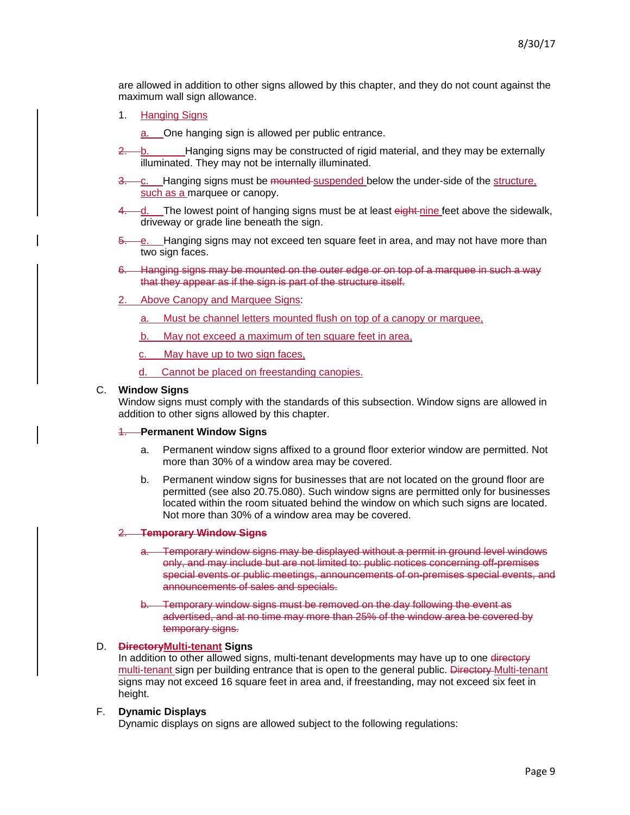are allowed in addition to other signs allowed by this chapter, and they do not count against the maximum wall sign allowance.

1. Hanging Signs

One hanging sign is allowed per public entrance.

- 2. b. Hanging signs may be constructed of rigid material, and they may be externally illuminated. They may not be internally illuminated.
- 3. c. Hanging signs must be mounted suspended below the under-side of the structure, such as a marquee or canopy.
- 4. d. The lowest point of hanging signs must be at least eight-nine feet above the sidewalk, driveway or grade line beneath the sign.
- 5. e. Hanging signs may not exceed ten square feet in area, and may not have more than two sign faces.
- 6. Hanging signs may be mounted on the outer edge or on top of a marquee in such a way that they appear as if the sign is part of the structure itself.
- 2. Above Canopy and Marquee Signs:
	- a. Must be channel letters mounted flush on top of a canopy or marquee,
	- b. May not exceed a maximum of ten square feet in area,
	- c. May have up to two sign faces,
	- d. Cannot be placed on freestanding canopies.

### C. **Window Signs**

Window signs must comply with the standards of this subsection. Window signs are allowed in addition to other signs allowed by this chapter.

#### 1. **Permanent Window Signs**

- a. Permanent window signs affixed to a ground floor exterior window are permitted. Not more than 30% of a window area may be covered.
- b. Permanent window signs for businesses that are not located on the ground floor are permitted (see also 20.75.080). Such window signs are permitted only for businesses located within the room situated behind the window on which such signs are located. Not more than 30% of a window area may be covered.

#### 2. **Temporary Window Signs**

- Temporary window signs may be displayed without a permit in ground level windows only, and may include but are not limited to: public notices concerning off-premises special events or public meetings, announcements of on-premises special events, and announcements of sales and specials.
- Temporary window signs must be removed on the day following the event as advertised, and at no time may more than 25% of the window area be covered by temporary signs.

### D. **DirectoryMulti-tenant Signs**

In addition to other allowed signs, multi-tenant developments may have up to one directory multi-tenant sign per building entrance that is open to the general public. Directory Multi-tenant signs may not exceed 16 square feet in area and, if freestanding, may not exceed six feet in height.

#### F. **Dynamic Displays**

Dynamic displays on signs are allowed subject to the following regulations: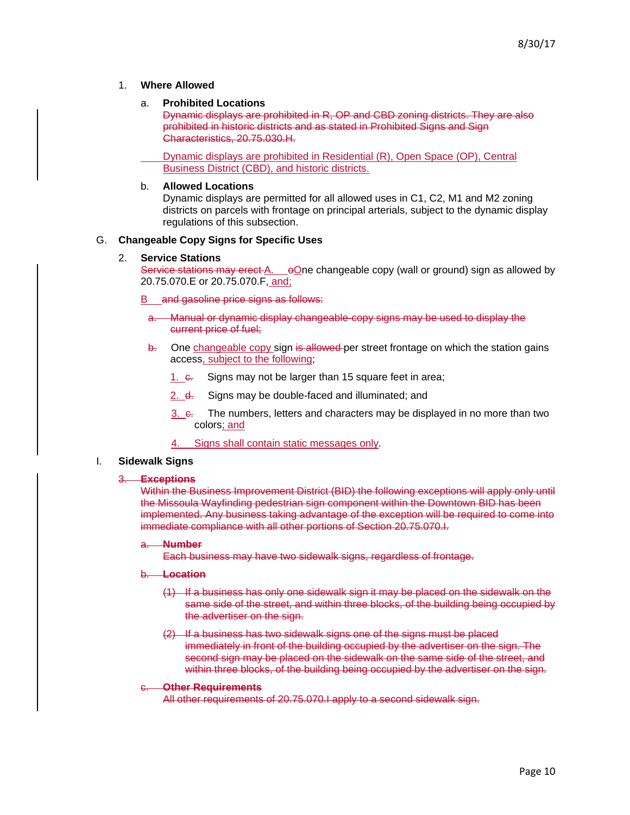### 1. **Where Allowed**

#### a. **Prohibited Locations**

Dynamic displays are prohibited in R, OP and CBD zoning districts. They are also prohibited in historic districts and as stated in Prohibited Signs and Sign Characteristics, 20.75.030.H.

Dynamic displays are prohibited in Residential (R), Open Space (OP), Central Business District (CBD), and historic districts.

#### b. **Allowed Locations**

Dynamic displays are permitted for all allowed uses in C1, C2, M1 and M2 zoning districts on parcels with frontage on principal arterials, subject to the dynamic display regulations of this subsection.

### G. **Changeable Copy Signs for Specific Uses**

#### 2. **Service Stations**

Service stations may erect A.  $\Theta$  one changeable copy (wall or ground) sign as allowed by 20.75.070.E or 20.75.070.F, and;

B and gasoline price signs as follows:

- a. Manual or dynamic display changeable-copy signs may be used to display the current price of fuel;
- $\overline{b}$ . One changeable copy sign is allowed per street frontage on which the station gains access, subject to the following;
	- 1.  $\epsilon$ . Signs may not be larger than 15 square feet in area;
	- 2. d. Signs may be double-faced and illuminated; and
	- $3.$   $\epsilon$ . The numbers, letters and characters may be displayed in no more than two colors; and
	- 4. Signs shall contain static messages only.

### I. **Sidewalk Signs**

#### 3. **Exceptions**

Within the Business Improvement District (BID) the following exceptions will apply only until the Missoula Wayfinding pedestrian sign component within the Downtown BID has been implemented. Any business taking advantage of the exception will be required to come into immediate compliance with all other portions of Section 20.75.070.I.

a. **Number**

Each business may have two sidewalk signs, regardless of frontage.

- b. **Location**
	- (1) If a business has only one sidewalk sign it may be placed on the sidewalk on the same side of the street, and within three blocks, of the building being occupied by the advertiser on the sign.
	- (2) If a business has two sidewalk signs one of the signs must be placed immediately in front of the building occupied by the advertiser on the sign. The second sign may be placed on the sidewalk on the same side of the street, and within three blocks, of the building being occupied by the advertiser on the sign.

#### **Other Requirements**

All other requirements of 20.75.070.I apply to a second sidewalk sign.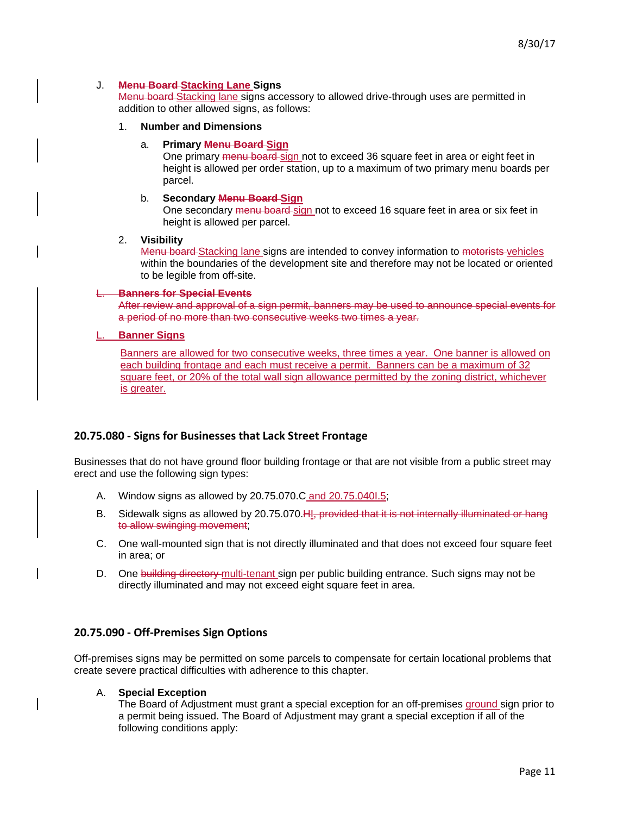### J. **Menu Board Stacking Lane Signs**

Menu board Stacking lane signs accessory to allowed drive-through uses are permitted in addition to other allowed signs, as follows:

- 1. **Number and Dimensions**
	- a. **Primary Menu Board Sign**

One primary menu board sign not to exceed 36 square feet in area or eight feet in height is allowed per order station, up to a maximum of two primary menu boards per parcel.

#### b. **Secondary Menu Board Sign**

One secondary menu board-sign not to exceed 16 square feet in area or six feet in height is allowed per parcel.

#### 2. **Visibility**

Menu board Stacking lane signs are intended to convey information to motorists vehicles within the boundaries of the development site and therefore may not be located or oriented to be legible from off-site.

### **Banners for Special Events**

After review and approval of a sign permit, banners may be used to announce special events for a period of no more than two consecutive weeks two times a year.

### **Banner Signs**

Banners are allowed for two consecutive weeks, three times a year. One banner is allowed on each building frontage and each must receive a permit. Banners can be a maximum of 32 square feet, or 20% of the total wall sign allowance permitted by the zoning district, whichever is greater.

# **20.75.080 - Signs for Businesses that Lack Street Frontage**

Businesses that do not have ground floor building frontage or that are not visible from a public street may erect and use the following sign types:

- A. Window signs as allowed by 20.75.070.C and 20.75.040I.5;
- B. Sidewalk signs as allowed by 20.75.070. H<sub>1</sub>, provided that it is not internally illuminated or hang to allow swinging movement;
- C. One wall-mounted sign that is not directly illuminated and that does not exceed four square feet in area; or
- D. One building directory-multi-tenant sign per public building entrance. Such signs may not be directly illuminated and may not exceed eight square feet in area.

### **20.75.090 - Off-Premises Sign Options**

Off-premises signs may be permitted on some parcels to compensate for certain locational problems that create severe practical difficulties with adherence to this chapter.

#### A. **Special Exception**

The Board of Adjustment must grant a special exception for an off-premises ground sign prior to a permit being issued. The Board of Adjustment may grant a special exception if all of the following conditions apply: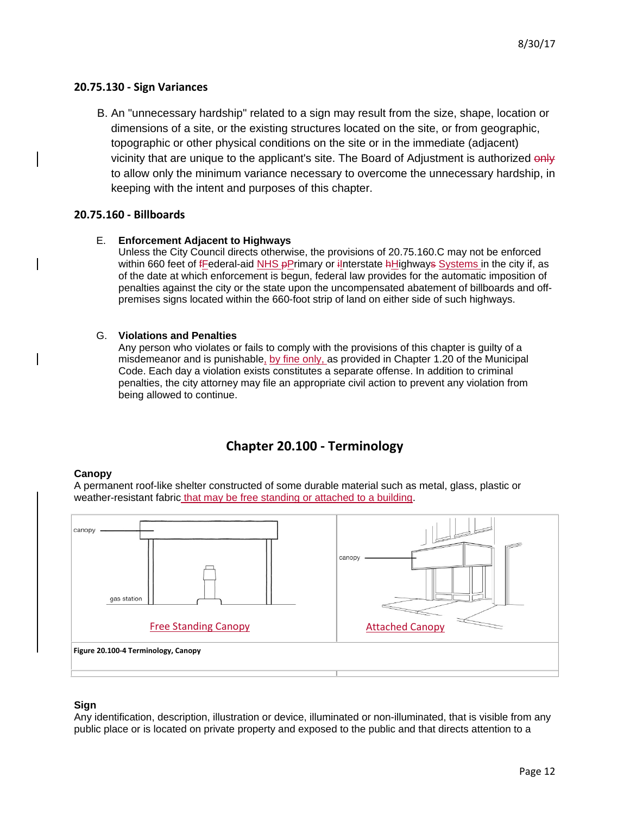# **20.75.130 - Sign Variances**

B. An "unnecessary hardship" related to a sign may result from the size, shape, location or dimensions of a site, or the existing structures located on the site, or from geographic, topographic or other physical conditions on the site or in the immediate (adjacent) vicinity that are unique to the applicant's site. The Board of Adjustment is authorized only to allow only the minimum variance necessary to overcome the unnecessary hardship, in keeping with the intent and purposes of this chapter.

# **20.75.160 - Billboards**

# E. **Enforcement Adjacent to Highways**

Unless the City Council directs otherwise, the provisions of 20.75.160.C may not be enforced within 660 feet of fFederal-aid NHS pPrimary or ilnterstate hHighways Systems in the city if, as of the date at which enforcement is begun, federal law provides for the automatic imposition of penalties against the city or the state upon the uncompensated abatement of billboards and offpremises signs located within the 660-foot strip of land on either side of such highways.

# G. **Violations and Penalties**

Any person who violates or fails to comply with the provisions of this chapter is guilty of a misdemeanor and is punishable, by fine only, as provided in Chapter 1.20 of the Municipal Code. Each day a violation exists constitutes a separate offense. In addition to criminal penalties, the city attorney may file an appropriate civil action to prevent any violation from being allowed to continue.

# **Chapter 20.100 - Terminology**

# **Canopy**

A permanent roof-like shelter constructed of some durable material such as metal, glass, plastic or weather-resistant fabric that may be free standing or attached to a building.



# **Sign**

Any identification, description, illustration or device, illuminated or non-illuminated, that is visible from any public place or is located on private property and exposed to the public and that directs attention to a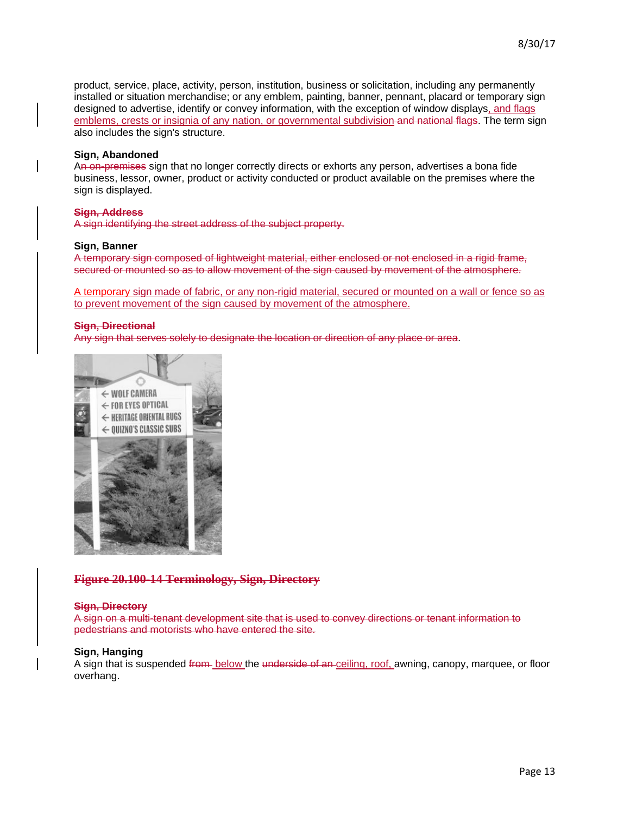product, service, place, activity, person, institution, business or solicitation, including any permanently installed or situation merchandise; or any emblem, painting, banner, pennant, placard or temporary sign designed to advertise, identify or convey information, with the exception of window displays, and flags emblems, crests or insignia of any nation, or governmental subdivision and national flags. The term sign also includes the sign's structure.

### **Sign, Abandoned**

An on-premises sign that no longer correctly directs or exhorts any person, advertises a bona fide business, lessor, owner, product or activity conducted or product available on the premises where the sign is displayed.

### **Sign, Address**

A sign identifying the street address of the subject property.

#### **Sign, Banner**

A temporary sign composed of lightweight material, either enclosed or not enclosed in a rigid frame, secured or mounted so as to allow movement of the sign caused by movement of the atmosphere.

A temporary sign made of fabric, or any non-rigid material, secured or mounted on a wall or fence so as to prevent movement of the sign caused by movement of the atmosphere.

#### **Sign, Directional**

Any sign that serves solely to designate the location or direction of any place or area.



# **Figure 20.100-14 Terminology, Sign, Directory**

#### **Sign, Directory**

A sign on a multi-tenant development site that is used to convey directions or tenant information to pedestrians and motorists who have entered the site.

#### **Sign, Hanging**

A sign that is suspended from below the underside of an ceiling, roof, awning, canopy, marquee, or floor overhang.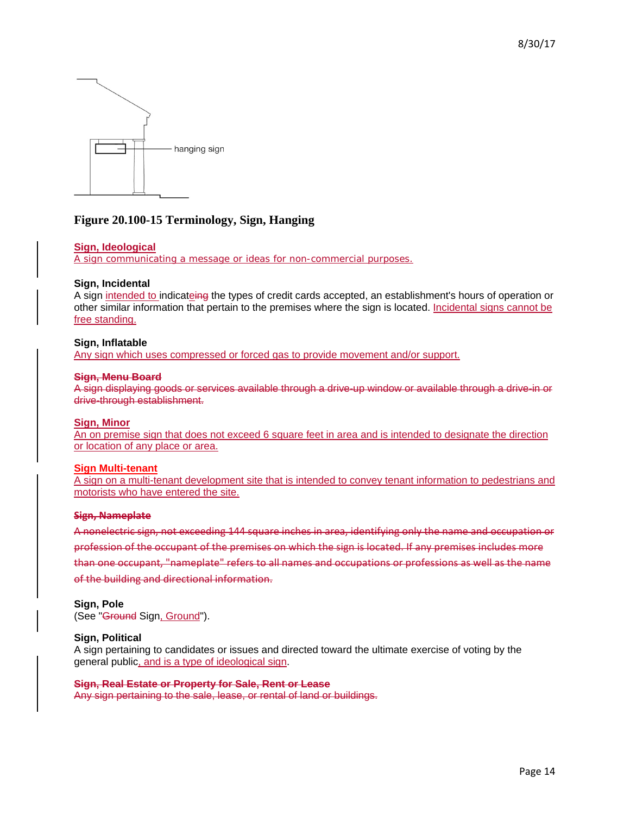

# **Figure 20.100-15 Terminology, Sign, Hanging**

### **Sign, Ideological**

A sign communicating a message or ideas for non-commercial purposes.

### **Sign, Incidental**

A sign intended to indicateing the types of credit cards accepted, an establishment's hours of operation or other similar information that pertain to the premises where the sign is located. Incidental signs cannot be free standing.

#### **Sign, Inflatable**

Any sign which uses compressed or forced gas to provide movement and/or support.

#### **Sign, Menu Board**

A sign displaying goods or services available through a drive-up window or available through a drive-in or drive-through establishment.

#### **Sign, Minor**

An on premise sign that does not exceed 6 square feet in area and is intended to designate the direction or location of any place or area.

#### **Sign Multi-tenant**

A sign on a multi-tenant development site that is intended to convey tenant information to pedestrians and motorists who have entered the site.

#### **Sign, Nameplate**

A nonelectric sign, not exceeding 144 square inches in area, identifying only the name and occupation or profession of the occupant of the premises on which the sign is located. If any premises includes more than one occupant, "nameplate" refers to all names and occupations or professions as well as the name of the building and directional information.

#### **Sign, Pole**

(See "Ground Sign, Ground").

### **Sign, Political**

A sign pertaining to candidates or issues and directed toward the ultimate exercise of voting by the general public, and is a type of ideological sign.

#### **Sign, Real Estate or Property for Sale, Rent or Lease**

Any sign pertaining to the sale, lease, or rental of land or buildings.